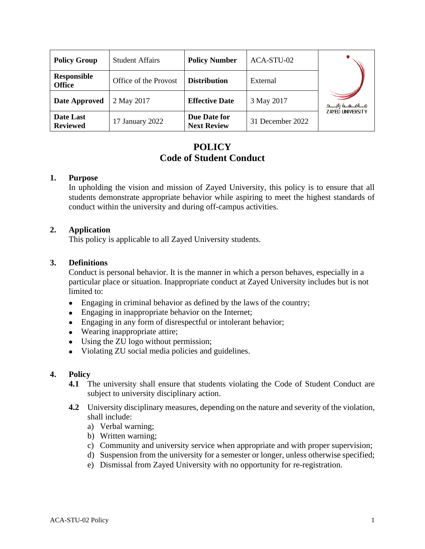| <b>Policy Group</b>                 | <b>Student Affairs</b> | <b>Policy Number</b>               | ACA-STU-02       |                         |
|-------------------------------------|------------------------|------------------------------------|------------------|-------------------------|
| <b>Responsible</b><br><b>Office</b> | Office of the Provost  | <b>Distribution</b>                | External         |                         |
| <b>Date Approved</b>                | 2 May 2017             | <b>Effective Date</b>              | 3 May 2017       |                         |
| Date Last<br><b>Reviewed</b>        | 17 January 2022        | Due Date for<br><b>Next Review</b> | 31 December 2022 | <b>ZAYED UNIVERSITY</b> |

# **POLICY Code of Student Conduct**

## **1. Purpose**

In upholding the vision and mission of Zayed University, this policy is to ensure that all students demonstrate appropriate behavior while aspiring to meet the highest standards of conduct within the university and during off-campus activities.

## **2. Application**

This policy is applicable to all Zayed University students.

#### **3. Definitions**

Conduct is personal behavior. It is the manner in which a person behaves, especially in a particular place or situation. Inappropriate conduct at Zayed University includes but is not limited to:

- Engaging in criminal behavior as defined by the laws of the country;
- Engaging in inappropriate behavior on the Internet;
- Engaging in any form of disrespectful or intolerant behavior;
- Wearing inappropriate attire;
- Using the ZU logo without permission;
- Violating ZU social media policies and guidelines.

#### **4. Policy**

- **4.1** The university shall ensure that students violating the Code of Student Conduct are subject to university disciplinary action.
- **4.2** University disciplinary measures, depending on the nature and severity of the violation, shall include:
	- a) Verbal warning;
	- b) Written warning;
	- c) Community and university service when appropriate and with proper supervision;
	- d) Suspension from the university for a semester or longer, unless otherwise specified;
	- e) Dismissal from Zayed University with no opportunity for re-registration.